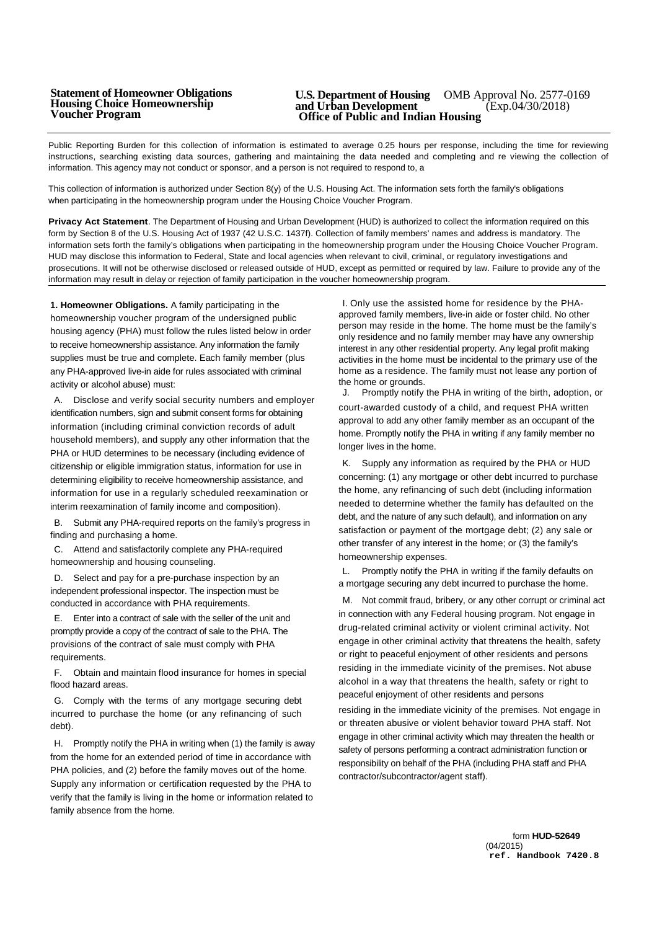## **Statement of Homeowner Obligations Housing Choice Homeownership Voucher Program**

## **U.S. Department of Housing** OMB Approval No. 2577-0169 and Urban Development (Exp.04/30/2018) and Urban Development **Office of Public and Indian Housing**

Public Reporting Burden for this collection of information is estimated to average 0.25 hours per response, including the time for reviewing instructions, searching existing data sources, gathering and maintaining the data needed and completing and re viewing the collection of information. This agency may not conduct or sponsor, and a person is not required to respond to, a

This collection of information is authorized under Section 8(y) of the U.S. Housing Act. The information sets forth the family's obligations when participating in the homeownership program under the Housing Choice Voucher Program.

**Privacy Act Statement**. The Department of Housing and Urban Development (HUD) is authorized to collect the information required on this form by Section 8 of the U.S. Housing Act of 1937 (42 U.S.C. 1437f). Collection of family members' names and address is mandatory. The information sets forth the family's obligations when participating in the homeownership program under the Housing Choice Voucher Program. HUD may disclose this information to Federal, State and local agencies when relevant to civil, criminal, or regulatory investigations and prosecutions. It will not be otherwise disclosed or released outside of HUD, except as permitted or required by law. Failure to provide any of the information may result in delay or rejection of family participation in the voucher homeownership program.

**1. Homeowner Obligations.** A family participating in the homeownership voucher program of the undersigned public housing agency (PHA) must follow the rules listed below in order to receive homeownership assistance. Any information the family supplies must be true and complete. Each family member (plus any PHA-approved live-in aide for rules associated with criminal activity or alcohol abuse) must:

A. Disclose and verify social security numbers and employer identification numbers, sign and submit consent forms for obtaining information (including criminal conviction records of adult household members), and supply any other information that the PHA or HUD determines to be necessary (including evidence of citizenship or eligible immigration status, information for use in determining eligibility to receive homeownership assistance, and information for use in a regularly scheduled reexamination or interim reexamination of family income and composition).

B. Submit any PHA-required reports on the family's progress in finding and purchasing a home.

C. Attend and satisfactorily complete any PHA-required homeownership and housing counseling.

D. Select and pay for a pre-purchase inspection by an independent professional inspector. The inspection must be conducted in accordance with PHA requirements.

E. Enter into a contract of sale with the seller of the unit and promptly provide a copy of the contract of sale to the PHA. The provisions of the contract of sale must comply with PHA requirements.

F. Obtain and maintain flood insurance for homes in special flood hazard areas.

G. Comply with the terms of any mortgage securing debt incurred to purchase the home (or any refinancing of such debt).

H. Promptly notify the PHA in writing when (1) the family is away from the home for an extended period of time in accordance with PHA policies, and (2) before the family moves out of the home. Supply any information or certification requested by the PHA to verify that the family is living in the home or information related to family absence from the home.

I. Only use the assisted home for residence by the PHAapproved family members, live-in aide or foster child. No other person may reside in the home. The home must be the family's only residence and no family member may have any ownership interest in any other residential property. Any legal profit making activities in the home must be incidental to the primary use of the home as a residence. The family must not lease any portion of the home or grounds.

J. Promptly notify the PHA in writing of the birth, adoption, or court-awarded custody of a child, and request PHA written approval to add any other family member as an occupant of the home. Promptly notify the PHA in writing if any family member no longer lives in the home.

K. Supply any information as required by the PHA or HUD concerning: (1) any mortgage or other debt incurred to purchase the home, any refinancing of such debt (including information needed to determine whether the family has defaulted on the debt, and the nature of any such default), and information on any satisfaction or payment of the mortgage debt; (2) any sale or other transfer of any interest in the home; or (3) the family's homeownership expenses.

L. Promptly notify the PHA in writing if the family defaults on a mortgage securing any debt incurred to purchase the home.

M. Not commit fraud, bribery, or any other corrupt or criminal act in connection with any Federal housing program. Not engage in drug-related criminal activity or violent criminal activity. Not engage in other criminal activity that threatens the health, safety or right to peaceful enjoyment of other residents and persons residing in the immediate vicinity of the premises. Not abuse alcohol in a way that threatens the health, safety or right to peaceful enjoyment of other residents and persons residing in the immediate vicinity of the premises. Not engage in or threaten abusive or violent behavior toward PHA staff. Not engage in other criminal activity which may threaten the health or safety of persons performing a contract administration function or responsibility on behalf of the PHA (including PHA staff and PHA contractor/subcontractor/agent staff).

> form **HUD-52649** (04/2015) **ref. Handbook 7420.8**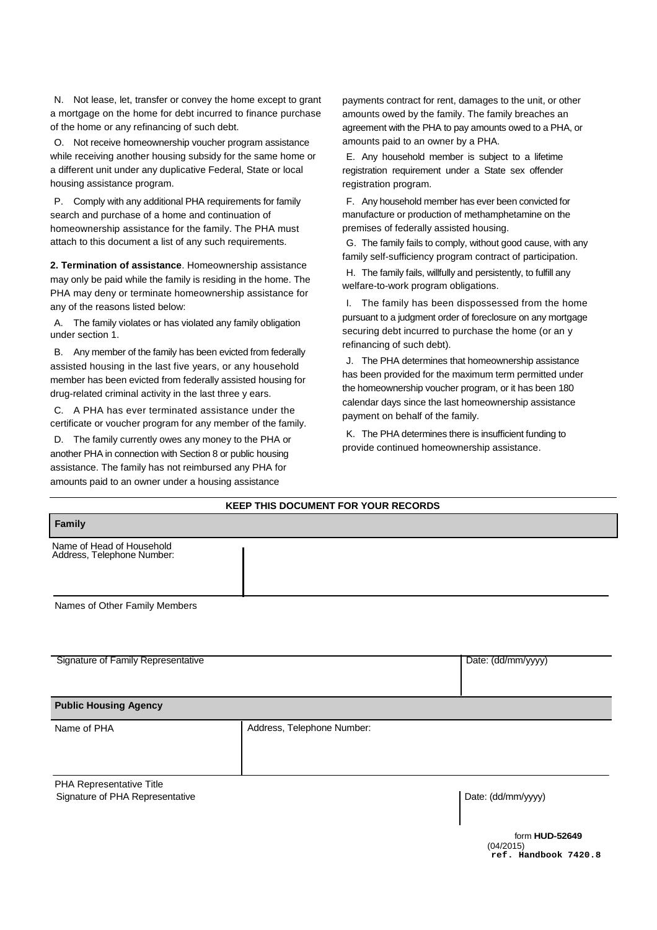N. Not lease, let, transfer or convey the home except to grant a mortgage on the home for debt incurred to finance purchase of the home or any refinancing of such debt.

O. Not receive homeownership voucher program assistance while receiving another housing subsidy for the same home or a different unit under any duplicative Federal, State or local housing assistance program.

P. Comply with any additional PHA requirements for family search and purchase of a home and continuation of homeownership assistance for the family. The PHA must attach to this document a list of any such requirements.

**2. Termination of assistance**. Homeownership assistance may only be paid while the family is residing in the home. The PHA may deny or terminate homeownership assistance for any of the reasons listed below:

A. The family violates or has violated any family obligation under section 1.

B. Any member of the family has been evicted from federally assisted housing in the last five years, or any household member has been evicted from federally assisted housing for drug-related criminal activity in the last three y ears.

C. A PHA has ever terminated assistance under the certificate or voucher program for any member of the family.

D. The family currently owes any money to the PHA or another PHA in connection with Section 8 or public housing assistance. The family has not reimbursed any PHA for amounts paid to an owner under a housing assistance

payments contract for rent, damages to the unit, or other amounts owed by the family. The family breaches an agreement with the PHA to pay amounts owed to a PHA, or amounts paid to an owner by a PHA.

E. Any household member is subject to a lifetime registration requirement under a State sex offender registration program.

F. Any household member has ever been convicted for manufacture or production of methamphetamine on the premises of federally assisted housing.

G. The family fails to comply, without good cause, with any family self-sufficiency program contract of participation.

H. The family fails, willfully and persistently, to fulfill any welfare-to-work program obligations.

I. The family has been dispossessed from the home pursuant to a judgment order of foreclosure on any mortgage securing debt incurred to purchase the home (or an y refinancing of such debt).

J. The PHA determines that homeownership assistance has been provided for the maximum term permitted under the homeownership voucher program, or it has been 180 calendar days since the last homeownership assistance payment on behalf of the family.

K. The PHA determines there is insufficient funding to provide continued homeownership assistance.

| <b>KEEP THIS DOCUMENT FOR YOUR RECORDS</b>                  |                            |                    |
|-------------------------------------------------------------|----------------------------|--------------------|
| Family                                                      |                            |                    |
| Name of Head of Household<br>Address, Telephone Number:     |                            |                    |
| Names of Other Family Members                               |                            |                    |
| Signature of Family Representative                          |                            | Date: (dd/mm/yyyy) |
| <b>Public Housing Agency</b>                                |                            |                    |
| Name of PHA                                                 | Address, Telephone Number: |                    |
| PHA Representative Title<br>Signature of PHA Representative |                            | Date: (dd/mm/yyyy) |

form **HUD-52649** (04/2015) **ref. Handbook 7420.8**